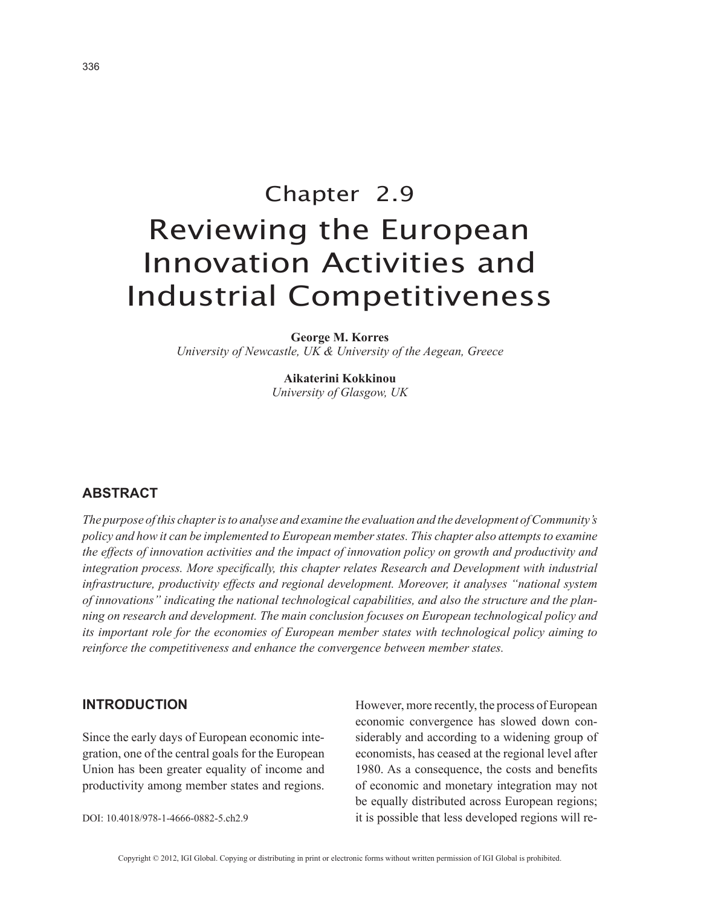# Chapter 2.9 Reviewing the European Innovation Activities and Industrial Competitiveness

**George M. Korres** *University of Newcastle, UK & University of the Aegean, Greece*

> **Aikaterini Kokkinou** *University of Glasgow, UK*

# **ABSTRACT**

*The purpose of this chapter is to analyse and examine the evaluation and the development of Community's policy and how it can be implemented to European member states. This chapter also attempts to examine the effects of innovation activities and the impact of innovation policy on growth and productivity and integration process. More specifically, this chapter relates Research and Development with industrial infrastructure, productivity effects and regional development. Moreover, it analyses "national system of innovations" indicating the national technological capabilities, and also the structure and the planning on research and development. The main conclusion focuses on European technological policy and its important role for the economies of European member states with technological policy aiming to reinforce the competitiveness and enhance the convergence between member states.*

## **INTRODUCTION**

Since the early days of European economic integration, one of the central goals for the European Union has been greater equality of income and productivity among member states and regions.

DOI: 10.4018/978-1-4666-0882-5.ch2.9

However, more recently, the process of European economic convergence has slowed down considerably and according to a widening group of economists, has ceased at the regional level after 1980. As a consequence, the costs and benefits of economic and monetary integration may not be equally distributed across European regions; it is possible that less developed regions will re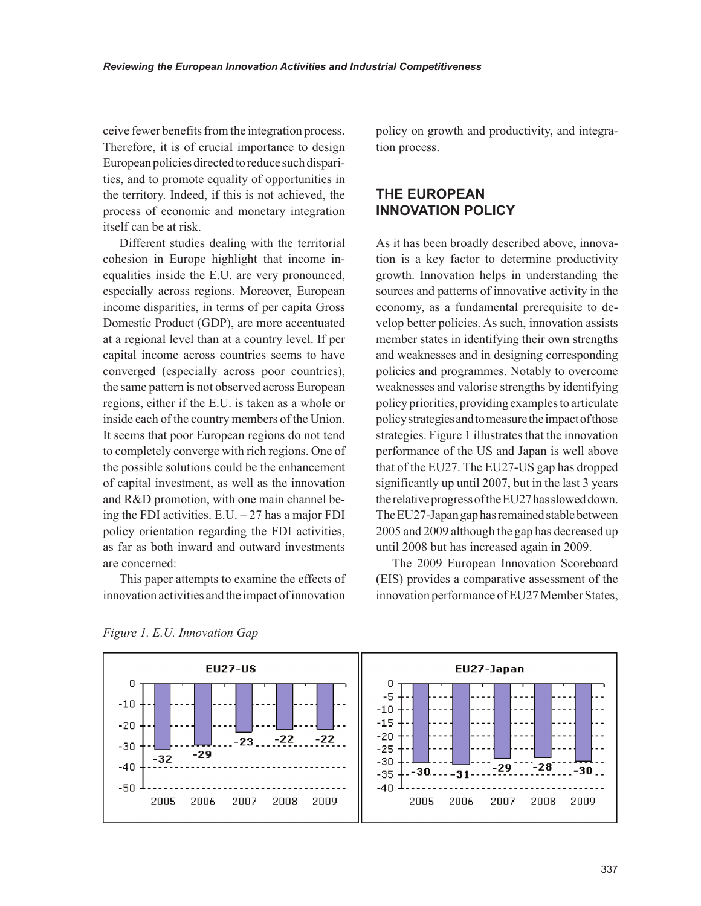ceive fewer benefits from the integration process. Therefore, it is of crucial importance to design European policies directed to reduce such disparities, and to promote equality of opportunities in the territory. Indeed, if this is not achieved, the process of economic and monetary integration itself can be at risk.

Different studies dealing with the territorial cohesion in Europe highlight that income inequalities inside the E.U. are very pronounced, especially across regions. Moreover, European income disparities, in terms of per capita Gross Domestic Product (GDP), are more accentuated at a regional level than at a country level. If per capital income across countries seems to have converged (especially across poor countries), the same pattern is not observed across European regions, either if the E.U. is taken as a whole or inside each of the country members of the Union. It seems that poor European regions do not tend to completely converge with rich regions. One of the possible solutions could be the enhancement of capital investment, as well as the innovation and R&D promotion, with one main channel being the FDI activities.  $E.U. -27$  has a major FDI policy orientation regarding the FDI activities, as far as both inward and outward investments are concerned:

This paper attempts to examine the effects of innovation activities and the impact of innovation

policy on growth and productivity, and integration process.

# **THE EUROPEAN INNOVATION POLICY**

As it has been broadly described above, innovation is a key factor to determine productivity growth. Innovation helps in understanding the sources and patterns of innovative activity in the economy, as a fundamental prerequisite to develop better policies. As such, innovation assists member states in identifying their own strengths and weaknesses and in designing corresponding policies and programmes. Notably to overcome weaknesses and valorise strengths by identifying policy priorities, providing examples to articulate policy strategies and to measure the impact of those strategies. Figure 1 illustrates that the innovation performance of the US and Japan is well above that of the EU27. The EU27-US gap has dropped significantly up until 2007, but in the last 3 years the relative progress of the EU27 has slowed down. The EU27-Japan gap has remained stable between 2005 and 2009 although the gap has decreased up until 2008 but has increased again in 2009.

The 2009 European Innovation Scoreboard (EIS) provides a comparative assessment of the innovation performance of EU27 Member States,



*Figure 1. E.U. Innovation Gap*